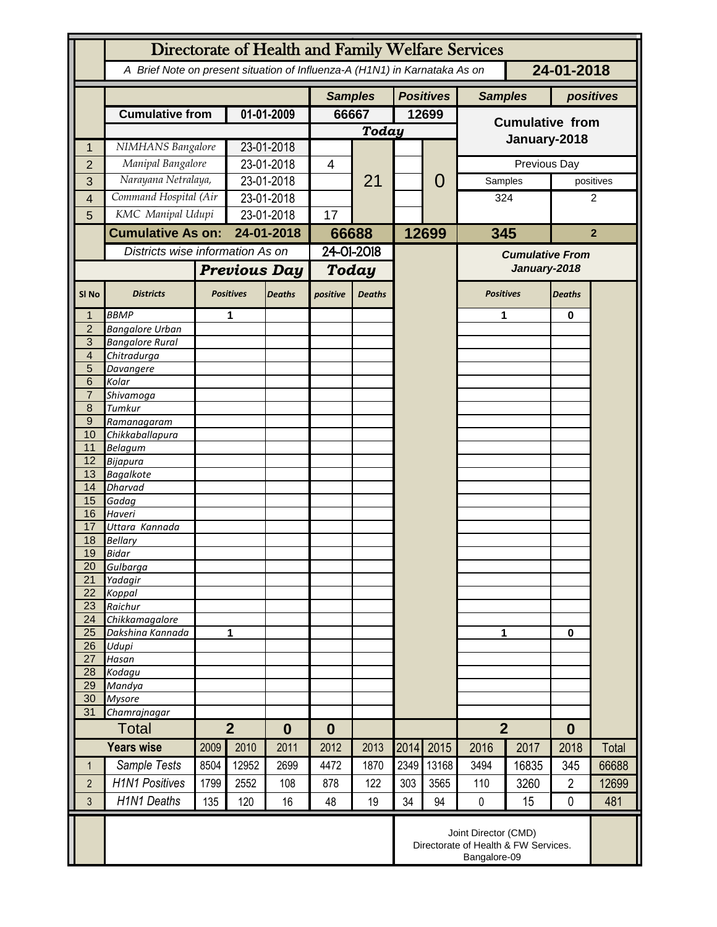|                                  | Directorate of Health and Family Welfare Services                                        |                          |                                    |                |            |               |                  |                |                        |           |                |                |  |
|----------------------------------|------------------------------------------------------------------------------------------|--------------------------|------------------------------------|----------------|------------|---------------|------------------|----------------|------------------------|-----------|----------------|----------------|--|
|                                  | A Brief Note on present situation of Influenza-A (H1N1) in Karnataka As on<br>24-01-2018 |                          |                                    |                |            |               |                  |                |                        |           |                |                |  |
|                                  |                                                                                          |                          |                                    | <b>Samples</b> |            |               | <b>Positives</b> | <b>Samples</b> |                        | positives |                |                |  |
|                                  | <b>Cumulative from</b>                                                                   |                          | 01-01-2009                         |                | 66667      |               | 12699            |                | <b>Cumulative from</b> |           |                |                |  |
|                                  |                                                                                          |                          |                                    |                | Today      |               |                  |                |                        |           |                |                |  |
| 1                                | NIMHANS Bangalore                                                                        |                          | 23-01-2018                         |                |            | 21            |                  |                | January-2018           |           |                |                |  |
| $\overline{2}$                   | Manipal Bangalore                                                                        |                          | 23-01-2018                         |                | 4          |               |                  | 0              | Previous Day           |           |                |                |  |
| 3                                | Narayana Netralaya,                                                                      |                          | 23-01-2018                         |                |            |               |                  |                | Samples                |           |                | positives      |  |
| 4                                | Command Hospital (Air                                                                    |                          | 23-01-2018                         |                |            |               |                  |                | 324                    | 2         |                |                |  |
| 5                                | KMC Manipal Udupi                                                                        |                          | 23-01-2018                         |                | 17         |               |                  |                |                        |           |                |                |  |
|                                  |                                                                                          | <b>Cumulative As on:</b> |                                    | 24-01-2018     |            | 66688         |                  | 12699          | 345                    |           |                | $\overline{2}$ |  |
|                                  | Districts wise information As on                                                         |                          |                                    |                | 24-01-2018 |               |                  |                | <b>Cumulative From</b> |           |                |                |  |
|                                  |                                                                                          |                          | <b>Previous Day</b>                |                | Today      |               |                  |                | January-2018           |           |                |                |  |
|                                  |                                                                                          |                          |                                    |                |            |               |                  |                |                        |           |                |                |  |
| SI <sub>No</sub>                 | <b>Districts</b>                                                                         |                          | <b>Positives</b>                   | <b>Deaths</b>  | positive   | <b>Deaths</b> |                  |                | <b>Positives</b>       |           | <b>Deaths</b>  |                |  |
|                                  | <b>BBMP</b>                                                                              |                          | 1                                  |                |            |               |                  |                | 1                      |           | $\bf{0}$       |                |  |
| $\overline{2}$<br>$\overline{3}$ | <b>Bangalore Urban</b>                                                                   |                          |                                    |                |            |               |                  |                |                        |           |                |                |  |
| $\overline{4}$                   | <b>Bangalore Rural</b><br>Chitradurga                                                    |                          |                                    |                |            |               |                  |                |                        |           |                |                |  |
| 5                                | Davangere                                                                                |                          |                                    |                |            |               |                  |                |                        |           |                |                |  |
| 6                                | Kolar                                                                                    |                          |                                    |                |            |               |                  |                |                        |           |                |                |  |
| $\overline{7}$                   | Shivamoga                                                                                |                          |                                    |                |            |               |                  |                |                        |           |                |                |  |
| 8                                | Tumkur                                                                                   |                          |                                    |                |            |               |                  |                |                        |           |                |                |  |
| $\overline{9}$<br>10             | Ramanagaram                                                                              |                          |                                    |                |            |               |                  |                |                        |           |                |                |  |
| 11                               | Chikkaballapura<br><b>Belagum</b>                                                        |                          |                                    |                |            |               |                  |                |                        |           |                |                |  |
| 12                               | <b>Bijapura</b>                                                                          |                          |                                    |                |            |               |                  |                |                        |           |                |                |  |
| 13                               | <b>Bagalkote</b>                                                                         |                          |                                    |                |            |               |                  |                |                        |           |                |                |  |
| 14                               | <b>Dharvad</b>                                                                           |                          |                                    |                |            |               |                  |                |                        |           |                |                |  |
| 15<br>16                         | Gadag                                                                                    |                          |                                    |                |            |               |                  |                |                        |           |                |                |  |
| 17                               | Haveri<br>Uttara Kannada                                                                 |                          |                                    |                |            |               |                  |                |                        |           |                |                |  |
| 18                               | <b>Bellary</b>                                                                           |                          |                                    |                |            |               |                  |                |                        |           |                |                |  |
| 19                               | <b>Bidar</b>                                                                             |                          |                                    |                |            |               |                  |                |                        |           |                |                |  |
| 20                               | Gulbarga                                                                                 |                          |                                    |                |            |               |                  |                |                        |           |                |                |  |
| 21                               | Yadagir                                                                                  |                          |                                    |                |            |               |                  |                |                        |           |                |                |  |
| 22<br>23                         | Koppal<br>Raichur                                                                        |                          |                                    |                |            |               |                  |                |                        |           |                |                |  |
| 24                               | Chikkamagalore                                                                           |                          |                                    |                |            |               |                  |                |                        |           |                |                |  |
| 25                               | Dakshina Kannada                                                                         | 1                        |                                    |                |            |               |                  |                | 1                      |           | $\mathbf 0$    |                |  |
| 26                               | Udupi                                                                                    |                          |                                    |                |            |               |                  |                |                        |           |                |                |  |
| 27                               | Hasan                                                                                    |                          |                                    |                |            |               |                  |                |                        |           |                |                |  |
| 28<br>29                         | Kodagu<br>Mandya                                                                         |                          |                                    |                |            |               |                  |                |                        |           |                |                |  |
| 30                               | <b>Mysore</b>                                                                            |                          |                                    |                |            |               |                  |                |                        |           |                |                |  |
| 31                               | Chamrajnagar                                                                             |                          |                                    |                |            |               |                  |                |                        |           |                |                |  |
|                                  | <b>Total</b>                                                                             |                          | $\overline{2}$<br>$\boldsymbol{0}$ |                | $\bf{0}$   |               |                  |                | $\overline{2}$         |           | $\bf{0}$       |                |  |
|                                  | <b>Years wise</b>                                                                        | 2009                     | 2010                               | 2011           | 2012       | 2013          | 2014             | 2015           | 2016                   | 2017      | 2018           | Total          |  |
| 1                                | Sample Tests                                                                             | 8504                     | 12952                              | 2699           | 4472       | 1870          | 2349             | 13168          | 3494                   | 16835     | 345            | 66688          |  |
| $\overline{2}$                   | <b>H1N1 Positives</b>                                                                    | 1799                     | 2552                               | 108            | 878        | 122           | 303              | 3565           | 110                    | 3260      | $\overline{2}$ | 12699          |  |
| 3                                | <b>H1N1 Deaths</b>                                                                       | 135                      | 120                                | 16             | 48         | 19            | 34               | 94             | $\pmb{0}$              | 15        | $\mathbf 0$    | 481            |  |
|                                  | Joint Director (CMD)<br>Directorate of Health & FW Services.<br>Bangalore-09             |                          |                                    |                |            |               |                  |                |                        |           |                |                |  |